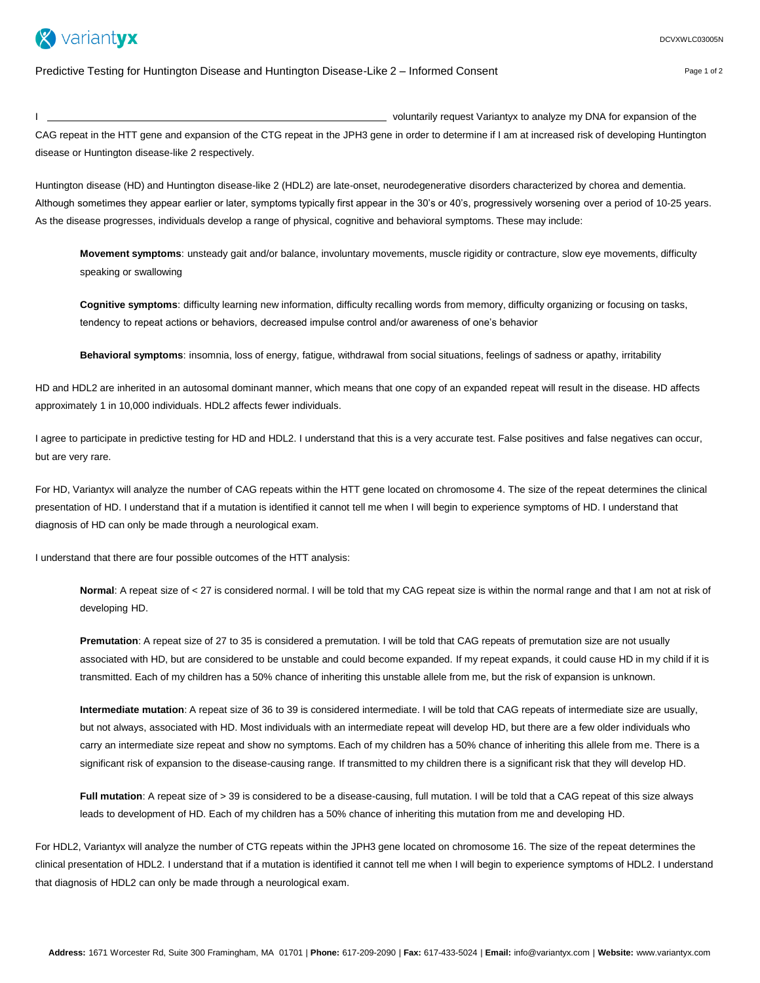

Page 1 of 2

Predictive Testing for Huntington Disease and Huntington Disease-Like 2 – Informed Consent

I voluntarily request Variantyx to analyze my DNA for expansion of the

CAG repeat in the HTT gene and expansion of the CTG repeat in the JPH3 gene in order to determine if I am at increased risk of developing Huntington disease or Huntington disease-like 2 respectively.

Huntington disease (HD) and Huntington disease-like 2 (HDL2) are late-onset, neurodegenerative disorders characterized by chorea and dementia. Although sometimes they appear earlier or later, symptoms typically first appear in the 30's or 40's, progressively worsening over a period of 10-25 years. As the disease progresses, individuals develop a range of physical, cognitive and behavioral symptoms. These may include:

**Movement symptoms**: unsteady gait and/or balance, involuntary movements, muscle rigidity or contracture, slow eye movements, difficulty speaking or swallowing

**Cognitive symptoms**: difficulty learning new information, difficulty recalling words from memory, difficulty organizing or focusing on tasks, tendency to repeat actions or behaviors, decreased impulse control and/or awareness of one's behavior

**Behavioral symptoms**: insomnia, loss of energy, fatigue, withdrawal from social situations, feelings of sadness or apathy, irritability

HD and HDL2 are inherited in an autosomal dominant manner, which means that one copy of an expanded repeat will result in the disease. HD affects approximately 1 in 10,000 individuals. HDL2 affects fewer individuals.

I agree to participate in predictive testing for HD and HDL2. I understand that this is a very accurate test. False positives and false negatives can occur, but are very rare.

For HD, Variantyx will analyze the number of CAG repeats within the HTT gene located on chromosome 4. The size of the repeat determines the clinical presentation of HD. I understand that if a mutation is identified it cannot tell me when I will begin to experience symptoms of HD. I understand that diagnosis of HD can only be made through a neurological exam.

I understand that there are four possible outcomes of the HTT analysis:

**Normal**: A repeat size of < 27 is considered normal. I will be told that my CAG repeat size is within the normal range and that I am not at risk of developing HD.

**Premutation**: A repeat size of 27 to 35 is considered a premutation. I will be told that CAG repeats of premutation size are not usually associated with HD, but are considered to be unstable and could become expanded. If my repeat expands, it could cause HD in my child if it is transmitted. Each of my children has a 50% chance of inheriting this unstable allele from me, but the risk of expansion is unknown.

**Intermediate mutation**: A repeat size of 36 to 39 is considered intermediate. I will be told that CAG repeats of intermediate size are usually, but not always, associated with HD. Most individuals with an intermediate repeat will develop HD, but there are a few older individuals who carry an intermediate size repeat and show no symptoms. Each of my children has a 50% chance of inheriting this allele from me. There is a significant risk of expansion to the disease-causing range. If transmitted to my children there is a significant risk that they will develop HD.

**Full mutation**: A repeat size of > 39 is considered to be a disease-causing, full mutation. I will be told that a CAG repeat of this size always leads to development of HD. Each of my children has a 50% chance of inheriting this mutation from me and developing HD.

For HDL2, Variantyx will analyze the number of CTG repeats within the JPH3 gene located on chromosome 16. The size of the repeat determines the clinical presentation of HDL2. I understand that if a mutation is identified it cannot tell me when I will begin to experience symptoms of HDL2. I understand that diagnosis of HDL2 can only be made through a neurological exam.